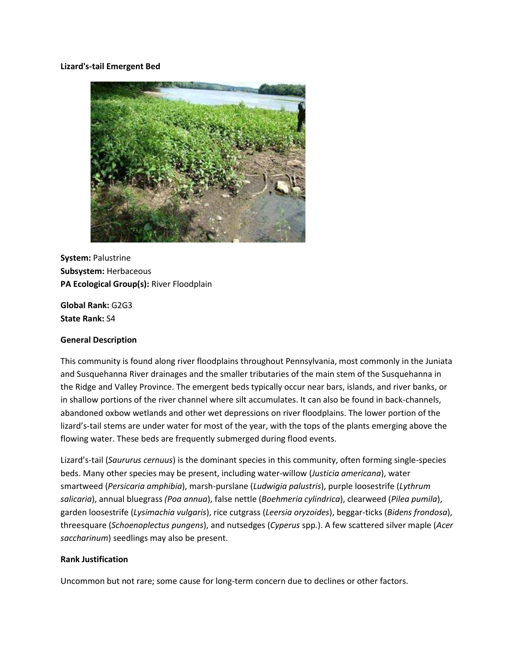#### **Lizard's-tail Emergent Bed**



**System:** Palustrine **Subsystem:** Herbaceous **PA Ecological Group(s):** River Floodplain

**Global Rank:** G2G3 **State Rank:** S4

#### **General Description**

This community is found along river floodplains throughout Pennsylvania, most commonly in the Juniata and Susquehanna River drainages and the smaller tributaries of the main stem of the Susquehanna in the Ridge and Valley Province. The emergent beds typically occur near bars, islands, and river banks, or in shallow portions of the river channel where silt accumulates. It can also be found in back-channels, abandoned oxbow wetlands and other wet depressions on river floodplains. The lower portion of the lizard's-tail stems are under water for most of the year, with the tops of the plants emerging above the flowing water. These beds are frequently submerged during flood events.

Lizard's-tail (*Saururus cernuus*) is the dominant species in this community, often forming single-species beds. Many other species may be present, including water-willow (*Justicia americana*), water smartweed (*Persicaria amphibia*), marsh-purslane (*Ludwigia palustris*), purple loosestrife (*Lythrum salicaria*), annual bluegrass *(Poa annua*), false nettle (*Boehmeria cylindrica*), clearweed (*Pilea pumila*), garden loosestrife (*Lysimachia vulgaris*), rice cutgrass (*Leersia oryzoides*), beggar-ticks (*Bidens frondosa*), threesquare (*Schoenoplectus pungens*), and nutsedges (*Cyperus* spp*.*). A few scattered silver maple (*Acer saccharinum*) seedlings may also be present.

#### **Rank Justification**

Uncommon but not rare; some cause for long-term concern due to declines or other factors.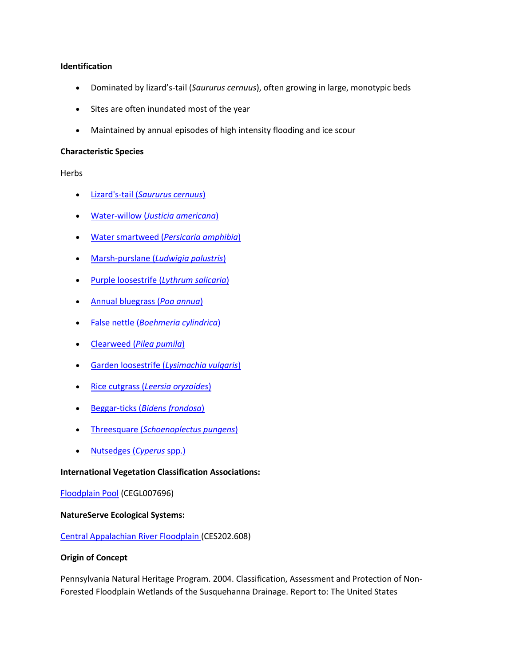### **Identification**

- Dominated by lizard's-tail (*Saururus cernuus*), often growing in large, monotypic beds
- Sites are often inundated most of the year
- Maintained by annual episodes of high intensity flooding and ice scour

### **Characteristic Species**

# Herbs

- Lizard's-tail (*[Saururus cernuus](http://www.natureserve.org/explorer/servlet/NatureServe?searchName=Saururus+cernuus)*)
- Water-willow (*[Justicia americana](http://www.natureserve.org/explorer/servlet/NatureServe?searchName=Justicia+americana)*)
- Water smartweed (*[Persicaria amphibia](http://www.natureserve.org/explorer/servlet/NatureServe?searchName=Polygonum+amphibium%20)*)
- Marsh-purslane (*[Ludwigia palustris](http://www.natureserve.org/explorer/servlet/NatureServe?searchName=Ludwigia+palustris)*)
- [Purple loosestrife \(](http://www.natureserve.org/explorer/servlet/NatureServe?searchName=Lythrum+salicaria)*Lythrum salicaria*)
- [Annual bluegrass \(](http://www.natureserve.org/explorer/servlet/NatureServe?searchName=Poa+annua)*Poa annua*)
- False nettle (*[Boehmeria cylindrica](http://www.natureserve.org/explorer/servlet/NatureServe?searchName=Boehmeria+cylindrica)*)
- Clearweed (*[Pilea pumila](http://www.natureserve.org/explorer/servlet/NatureServe?searchName=Pilea+pumila)*)
- [Garden loosestrife \(](http://www.natureserve.org/explorer/servlet/NatureServe?searchName=Lysimachia+vulgaris)*Lysimachia vulgaris*)
- Rice cutgrass (*[Leersia oryzoides](http://www.natureserve.org/explorer/servlet/NatureServe?searchName=Leersia+oryzoides)*)
- Beggar-ticks (*[Bidens frondosa](http://www.natureserve.org/explorer/servlet/NatureServe?searchName=Bidens+frondosa)*)
- Threesquare (*[Schoenoplectus pungens](http://www.natureserve.org/explorer/servlet/NatureServe?searchName=Schoenoplectus+pungens)*)
- [Nutsedges \(](http://www.natureserve.org/explorer/servlet/NatureServe?searchSciOrCommonName=cyperus)*Cyperus* spp.)

# **International Vegetation Classification Associations:**

# [Floodplain Pool](http://www.natureserve.org/explorer/servlet/NatureServe?searchCommunityUid=ELEMENT_GLOBAL.2.684674) (CEGL007696)

# **NatureServe Ecological Systems:**

# [Central Appalachian River Floodplain \(](http://www.natureserve.org/explorer/servlet/NatureServe?searchSystemUid=ELEMENT_GLOBAL.2.723001)CES202.608)

# **Origin of Concept**

Pennsylvania Natural Heritage Program. 2004. Classification, Assessment and Protection of Non-Forested Floodplain Wetlands of the Susquehanna Drainage. Report to: The United States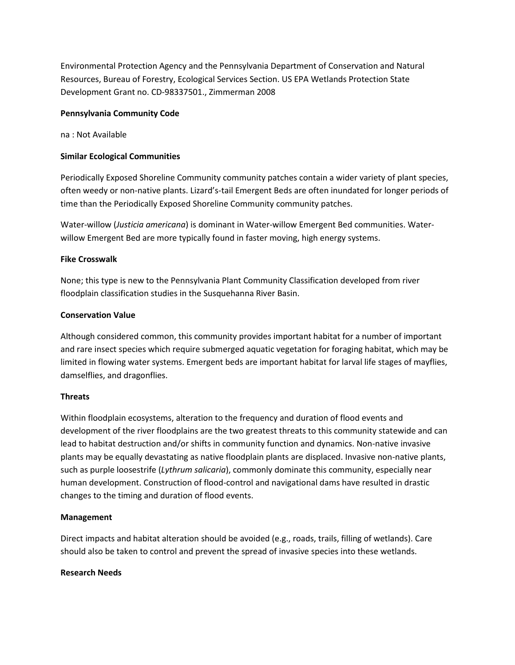Environmental Protection Agency and the Pennsylvania Department of Conservation and Natural Resources, Bureau of Forestry, Ecological Services Section. US EPA Wetlands Protection State Development Grant no. CD-98337501., Zimmerman 2008

### **Pennsylvania Community Code**

na : Not Available

### **Similar Ecological Communities**

Periodically Exposed Shoreline Community community patches contain a wider variety of plant species, often weedy or non-native plants. Lizard's-tail Emergent Beds are often inundated for longer periods of time than the Periodically Exposed Shoreline Community community patches.

Water-willow (*Justicia americana*) is dominant in Water-willow Emergent Bed communities. Waterwillow Emergent Bed are more typically found in faster moving, high energy systems.

### **Fike Crosswalk**

None; this type is new to the Pennsylvania Plant Community Classification developed from river floodplain classification studies in the Susquehanna River Basin.

### **Conservation Value**

Although considered common, this community provides important habitat for a number of important and rare insect species which require submerged aquatic vegetation for foraging habitat, which may be limited in flowing water systems. Emergent beds are important habitat for larval life stages of mayflies, damselflies, and dragonflies.

#### **Threats**

Within floodplain ecosystems, alteration to the frequency and duration of flood events and development of the river floodplains are the two greatest threats to this community statewide and can lead to habitat destruction and/or shifts in community function and dynamics. Non-native invasive plants may be equally devastating as native floodplain plants are displaced. Invasive non-native plants, such as purple loosestrife (*Lythrum salicaria*), commonly dominate this community, especially near human development. Construction of flood-control and navigational dams have resulted in drastic changes to the timing and duration of flood events.

# **Management**

Direct impacts and habitat alteration should be avoided (e.g., roads, trails, filling of wetlands). Care should also be taken to control and prevent the spread of invasive species into these wetlands.

#### **Research Needs**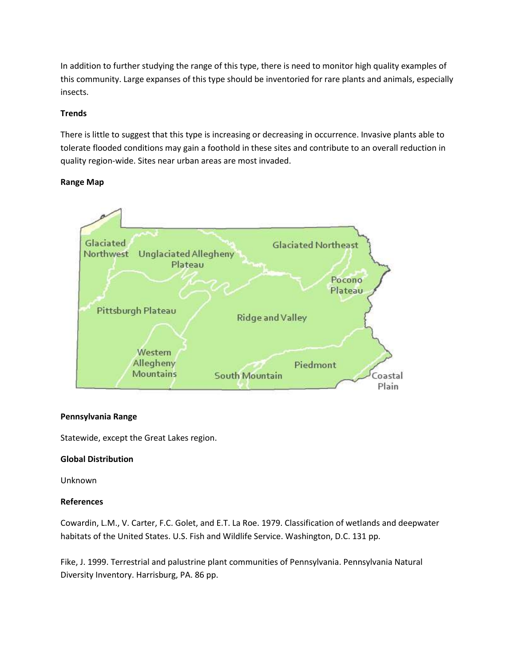In addition to further studying the range of this type, there is need to monitor high quality examples of this community. Large expanses of this type should be inventoried for rare plants and animals, especially insects.

# **Trends**

There is little to suggest that this type is increasing or decreasing in occurrence. Invasive plants able to tolerate flooded conditions may gain a foothold in these sites and contribute to an overall reduction in quality region-wide. Sites near urban areas are most invaded.

# **Range Map**



# **Pennsylvania Range**

Statewide, except the Great Lakes region.

# **Global Distribution**

Unknown

# **References**

Cowardin, L.M., V. Carter, F.C. Golet, and E.T. La Roe. 1979. Classification of wetlands and deepwater habitats of the United States. U.S. Fish and Wildlife Service. Washington, D.C. 131 pp.

Fike, J. 1999. Terrestrial and palustrine plant communities of Pennsylvania. Pennsylvania Natural Diversity Inventory. Harrisburg, PA. 86 pp.